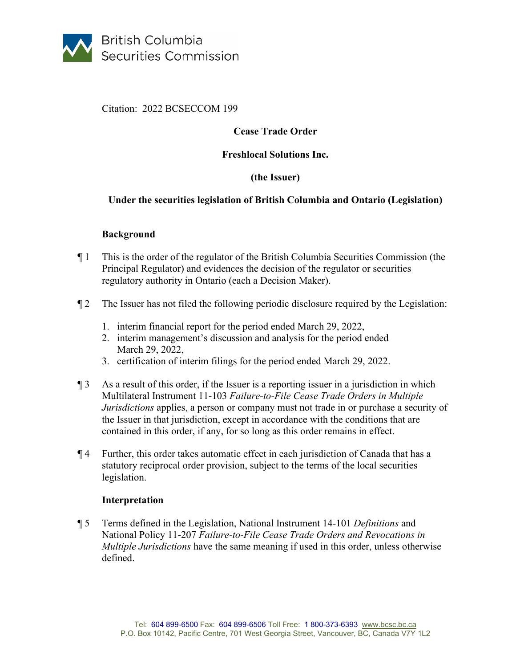

Citation: 2022 BCSECCOM 199

# **Cease Trade Order**

### **Freshlocal Solutions Inc.**

# **(the Issuer)**

## **Under the securities legislation of British Columbia and Ontario (Legislation)**

### **Background**

- ¶ 1 This is the order of the regulator of the British Columbia Securities Commission (the Principal Regulator) and evidences the decision of the regulator or securities regulatory authority in Ontario (each a Decision Maker).
- ¶ 2 The Issuer has not filed the following periodic disclosure required by the Legislation:
	- 1. interim financial report for the period ended March 29, 2022,
	- 2. interim management's discussion and analysis for the period ended March 29, 2022,
	- 3. certification of interim filings for the period ended March 29, 2022.
- ¶ 3 As a result of this order, if the Issuer is a reporting issuer in a jurisdiction in which Multilateral Instrument 11-103 *Failure-to-File Cease Trade Orders in Multiple Jurisdictions* applies, a person or company must not trade in or purchase a security of the Issuer in that jurisdiction, except in accordance with the conditions that are contained in this order, if any, for so long as this order remains in effect.
- ¶ 4 Further, this order takes automatic effect in each jurisdiction of Canada that has a statutory reciprocal order provision, subject to the terms of the local securities legislation.

### **Interpretation**

¶ 5 Terms defined in the Legislation, National Instrument 14-101 *Definitions* and National Policy 11-207 *Failure-to-File Cease Trade Orders and Revocations in Multiple Jurisdictions* have the same meaning if used in this order, unless otherwise defined.